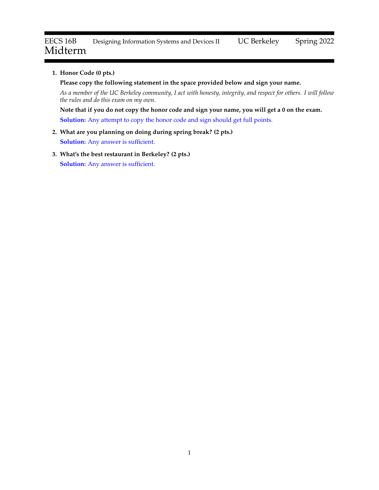# **1. Honor Code (0 pts.)**

**Please copy the following statement in the space provided below and sign your name.**

*As a member of the UC Berkeley community, I act with honesty, integrity, and respect for others. I will follow the rules and do this exam on my own.*

**Note that if you do not copy the honor code and sign your name, you will get a 0 on the exam.**

**Solution:** Any attempt to copy the honor code and sign should get full points.

# **2. What are you planning on doing during spring break? (2 pts.) Solution:** Any answer is sufficient.

**3. What's the best restaurant in Berkeley? (2 pts.) Solution:** Any answer is sufficient.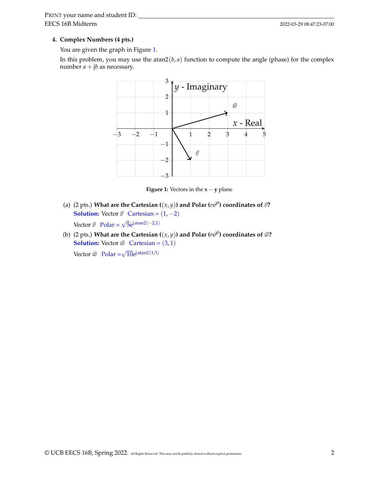# **4. Complex Numbers (4 pts.)**

You are given the graph in Figure [1.](#page-1-0)

<span id="page-1-0"></span>In this problem, you may use the atan $2(b, a)$  function to compute the angle (phase) for the complex number  $a + jb$  as necessary.



**Figure 1:** Vectors in the  $\mathbf{x} - \mathbf{y}$  plane

- (a) (2 pts.) What are the Cartesian ( $(x, y)$ ) and Polar ( $re^{j\theta}$ ) coordinates of  $\vec{v}$ ? **Solution:** Vector  $\vec{v}$  Cartesian =  $(1, -2)$ Vector  $\vec{v}$  Polar =  $\sqrt{5}e^{j \text{atan2}(-2,1)}$
- (b) (2 pts.) What are the Cartesian ( $(x,y)$ ) and Polar ( $re^{j\theta}$ ) coordinates of  $\vec{w}$ ? **Solution:** Vector  $\vec{w}$  Cartesian = (3, 1) Vector  $\vec{w}$  Polar =  $\sqrt{10}e^{j \text{atan2}(1,3)}$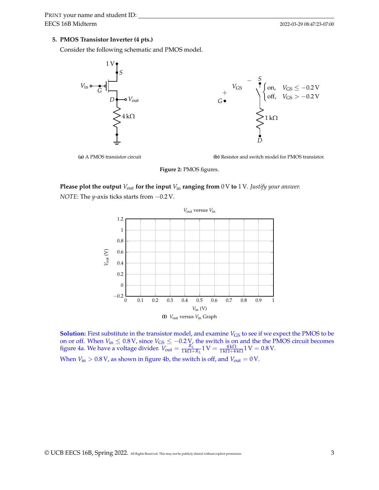# **5. PMOS Transistor Inverter (4 pts.)**

Consider the following schematic and PMOS model.



**(a)** A PMOS transistor circuit

**(b)** Resistor and switch model for PMOS transistor.

**Figure 2:** PMOS figures.

**Please plot the output**  $V_{\text{out}}$  for the input  $V_{\text{in}}$  ranging from 0 V to 1 V. Justify your answer. *NOTE*: The *y*-axis ticks starts from −0.2 V.



**Solution:** First substitute in the transistor model, and examine  $V_{\text{GS}}$  to see if we expect the PMOS to be on or off. When  $V_{\text{in}} \leq 0.8$  V, since  $V_{\text{GS}} \leq -0.2$  V, the switch is on and the the PMOS circuit becomes figure [4a.](#page-3-0) We have a voltage divider.  $V_{\text{out}} = \frac{R_L}{1 \text{k}\Omega + R_L} 1 \text{ V} = \frac{4 \text{k}\Omega}{1 \text{k}\Omega + 4 \text{k}\Omega} 1 \text{ V} = 0.8 \text{ V}.$ 

When  $V_{\text{in}} > 0.8$  V, as shown in figure [4b,](#page-3-0) the switch is off, and  $V_{\text{out}} = 0$  V.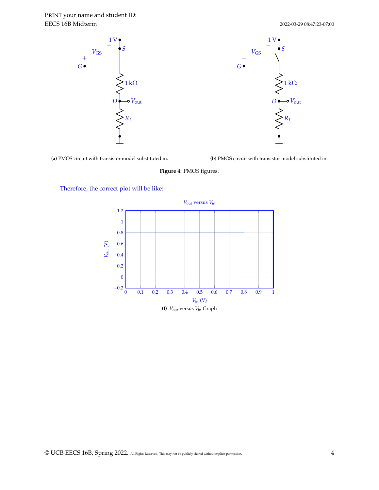<span id="page-3-0"></span>

**(a)** PMOS circuit with transistor model substituted in.

**(b)** PMOS circuit with transistor model substituted in.

**Figure 4:** PMOS figures.

Therefore, the correct plot will be like:

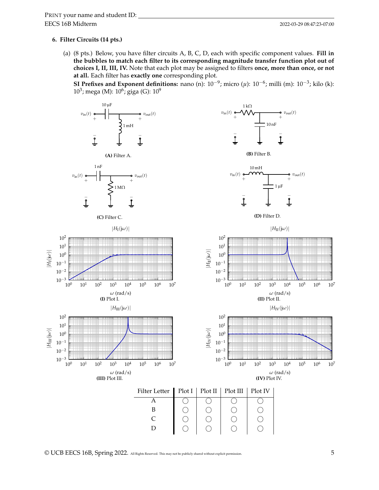# **6. Filter Circuits (14 pts.)**

(a) (8 pts.) Below, you have filter circuits A, B, C, D, each with specific component values. **Fill in the bubbles to match each filter to its corresponding magnitude transfer function plot out of choices I, II, III, IV.** Note that each plot may be assigned to filters **once, more than once, or not at all.** Each filter has **exactly one** corresponding plot.

**SI Prefixes and Exponent definitions:** nano (n):  $10^{-9}$ ; micro ( $\mu$ ):  $10^{-6}$ ; milli (m):  $10^{-3}$ ; kilo (k): 10<sup>3</sup>; mega (M): 10<sup>6</sup>; giga (G): 10<sup>9</sup>



© UCB EECS 16B, Spring 2022. All Rights Reserved. This may not be publicly shared without explicit permission. 5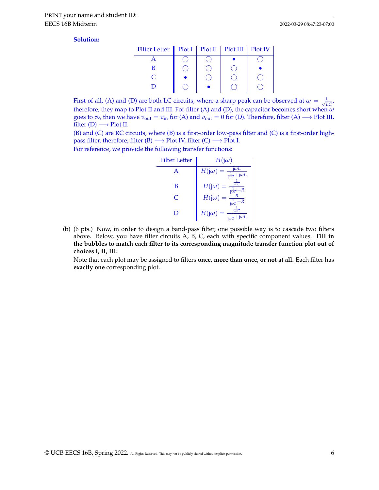#### **Solution:**

| Filter Letter   Plot I   Plot II   Plot III   Plot IV |  |  |
|-------------------------------------------------------|--|--|
|                                                       |  |  |
| B                                                     |  |  |
|                                                       |  |  |
|                                                       |  |  |

First of all, (A) and (D) are both LC circuits, where a sharp peak can be observed at  $\omega = \frac{1}{\sqrt{LC}}$ , therefore, they map to Plot II and III. For filter (A) and (D), the capacitor becomes short when *ω* goes to  $\infty$ , then we have  $v_{\text{out}} = v_{\text{in}}$  for (A) and  $v_{\text{out}} = 0$  for (D). Therefore, filter (A)  $\longrightarrow$  Plot III, filter  $(D) \longrightarrow$  Plot II.

(B) and (C) are RC circuits, where (B) is a first-order low-pass filter and (C) is a first-order highpass filter, therefore, filter (B)  $\longrightarrow$  Plot IV, filter (C)  $\longrightarrow$  Plot I.

For reference, we provide the following transfer functions:

| <b>Filter Letter</b> | $H(j\omega)$                                                                                             |  |
|----------------------|----------------------------------------------------------------------------------------------------------|--|
| A                    | jωL<br>$H(j\omega) =$<br>$\frac{1}{\mathsf{j}\omega\mathsf{C}}+\mathsf{j}\omega L$                       |  |
| B                    | $\frac{1}{2}$<br>$H(j\omega)$<br>$+R$<br>$\frac{1}{100}$ C                                               |  |
| C                    | $H(j\omega)$<br>$\frac{1}{j\omega C}$<br>$+R$                                                            |  |
|                      | $\overline{\mathrm{i}\omega\mathrm{C}}$<br>$H(j\omega)$<br>ωL<br>$\overline{\mathrm{i}\omega\mathrm{C}}$ |  |

(b) (6 pts.) Now, in order to design a band-pass filter, one possible way is to cascade two filters above. Below, you have filter circuits A, B, C, each with specific component values. **Fill in the bubbles to match each filter to its corresponding magnitude transfer function plot out of choices I, II, III.**

Note that each plot may be assigned to filters **once, more than once, or not at all.** Each filter has **exactly one** corresponding plot.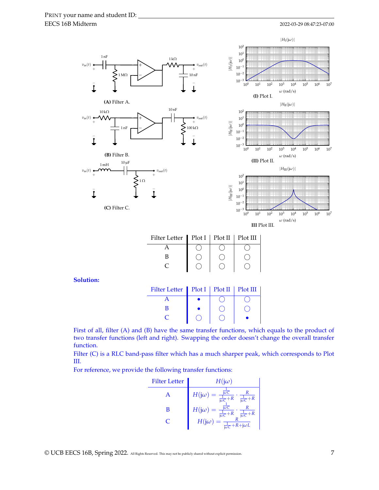#### 2022-03-29 08:47:23-07:00



| III Plot III |  |
|--------------|--|
|--------------|--|

| Filter Letter Plot I   Plot II   Plot III |  |  |
|-------------------------------------------|--|--|
|                                           |  |  |
|                                           |  |  |
|                                           |  |  |

**Solution:**

| Filter Letter   Plot I   Plot II   Plot III |  |  |
|---------------------------------------------|--|--|
|                                             |  |  |
|                                             |  |  |
|                                             |  |  |

First of all, filter (A) and (B) have the same transfer functions, which equals to the product of two transfer functions (left and right). Swapping the order doesn't change the overall transfer function.

Filter (C) is a RLC band-pass filter which has a much sharper peak, which corresponds to Plot III.

For reference, we provide the following transfer functions:

Filter Letter

\n
$$
H(j\omega)
$$
\nA

\n
$$
H(j\omega) = \frac{\frac{1}{j\omega C} + R}{\frac{1}{j\omega C} + R} \cdot \frac{R}{\frac{1}{j\omega C} + R}
$$
\nB

\n
$$
H(j\omega) = \frac{\frac{1}{j\omega C}}{\frac{1}{j\omega C} + R} \cdot \frac{R}{\frac{1}{j\omega C} + R}
$$
\nC

\n
$$
H(j\omega) = \frac{R}{\frac{1}{j\omega C} + R + j\omega L}
$$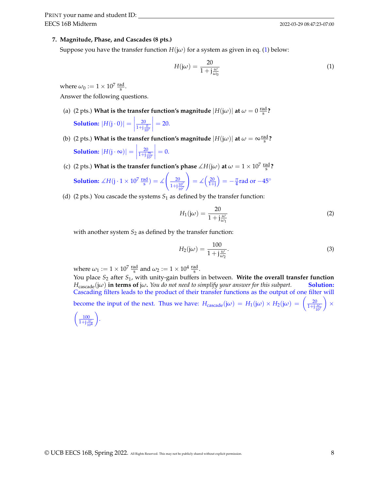## **7. Magnitude, Phase, and Cascades (8 pts.)**

Suppose you have the transfer function  $H(i\omega)$  for a system as given in eq. [\(1\)](#page-7-0) below:

<span id="page-7-0"></span>
$$
H(j\omega) = \frac{20}{1 + j\frac{\omega}{\omega_0}}
$$
 (1)

where  $\omega_0 := 1 \times 10^7 \frac{\text{rad}}{\text{s}}$ .

Answer the following questions.

(a) (2 pts.) What is the transfer function's magnitude  $|H(j\omega)|$  at  $\omega = 0 \frac{\text{rad}}{\text{s}}$ ?

**Solution:**  $|H(j \cdot 0)| =$  $\overline{20}$  $1+j\frac{0}{10^7}$  $\Big| = 20.$ 

- (b) (2 pts.) What is the transfer function's magnitude  $|H(\mathrm{j}\omega)|$  at  $\omega = \infty \frac{\text{rad}}{\text{s}}$ ? **Solution:**  $|H(j \cdot \infty)| =$  $rac{20}{1+j\frac{8}{10^7}}$  $\Big| = 0.$
- (c) (2 pts.) What is the transfer function's phase  $\measuredangle H(\mathrm{j}\omega)$  at  $\omega = 1 \times 10^7 \, \frac{\text{rad}}{\text{s}}$ ?

**Solution:** 
$$
\angle H(j \cdot 1 \times 10^7 \frac{\text{rad}}{\text{s}}) = \angle \left(\frac{20}{1 + j\frac{10^7}{10^7}}\right) = \angle \left(\frac{20}{1 + j}\right) = -\frac{\pi}{4} \text{rad or } -45^{\circ}
$$

(d) (2 pts.) You cascade the systems  $S_1$  as defined by the transfer function:

$$
H_1(j\omega) = \frac{20}{1 + j\frac{\omega}{\omega_1}}\tag{2}
$$

with another system  $S_2$  as defined by the transfer function:

$$
H_2(j\omega) = \frac{100}{1 + j\frac{\omega}{\omega_2}}.\tag{3}
$$

where  $\omega_1 := 1 \times 10^7 \frac{\text{rad}}{\text{s}}$  and  $\omega_2 := 1 \times 10^4 \frac{\text{rad}}{\text{s}}$ .

You place *S*<sub>2</sub> after *S*<sub>1</sub>, with unity-gain buffers in between. **Write the overall transfer function**  $H_{\text{cascade}}(i\omega)$  in terms of  $j\omega$ . You do not need to simplify your answer for this subpart. **Solution:**  $H_{\text{cascade}}(j\omega)$  **in terms of**  $j\omega$ . You do not need to simplify your answer for this subpart. Cascading filters leads to the product of their transfer functions as the output of one filter will

become the input of the next. Thus we have:  $H_{\text{cascade}}(j\omega) = H_1(j\omega) \times H_2(j\omega) = \left(\frac{20}{1+j\frac{\omega}{10^7}}\right)$  $\vert x \vert$  $\left( \frac{100}{1+j\frac{\omega}{10^4}} \right.$ .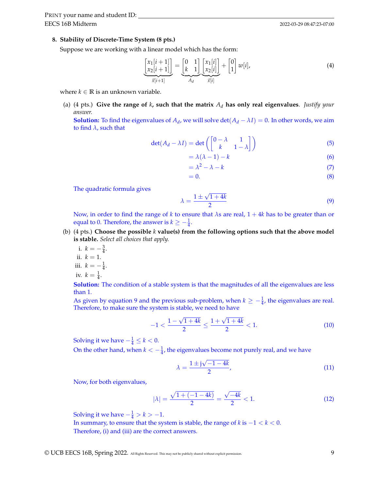#### **8. Stability of Discrete-Time System (8 pts.)**

Suppose we are working with a linear model which has the form:

$$
\frac{\begin{bmatrix} x_1[i+1] \\ x_2[i+1] \end{bmatrix}}{\frac{x[i+1]}{x[i+1]}} = \underbrace{\begin{bmatrix} 0 & 1 \\ k & 1 \end{bmatrix}}_{A_d} \frac{\begin{bmatrix} x_1[i] \\ x_2[i] \end{bmatrix}}{\frac{x[i]}} + \begin{bmatrix} 0 \\ 1 \end{bmatrix} w[i],
$$
\n(4)

where  $k \in \mathbb{R}$  is an unknown variable.

(a) (4 pts.) **Give the range of** *k***, such that the matrix** *A<sup>d</sup>* **has only real eigenvalues**. *Justify your answer.*

**Solution:** To find the eigenvalues of  $A_d$ , we will solve  $\det(A_d - \lambda I) = 0$ . In other words, we aim to find *λ*, such that

$$
\det(A_d - \lambda I) = \det\left(\begin{bmatrix} 0 - \lambda & 1\\ k & 1 - \lambda \end{bmatrix}\right) \tag{5}
$$

$$
= \lambda(\lambda - 1) - k \tag{6}
$$

$$
= \lambda^2 - \lambda - k \tag{7}
$$

$$
=0.\t(8)
$$

The quadratic formula gives

<span id="page-8-0"></span>
$$
\lambda = \frac{1 \pm \sqrt{1 + 4k}}{2} \tag{9}
$$

Now, in order to find the range of *k* to ensure that *λ*s are real, 1 + 4*k* has to be greater than or equal to 0. Therefore, the answer is  $k \geq -\frac{1}{4}$ .

- (b) (4 pts.) **Choose the possible** *k* **value(s) from the following options such that the above model is stable.** *Select all choices that apply.*
	- i.  $k = -\frac{3}{4}$ . ii.  $k = 1$ .
	-
	- iii.  $k = -\frac{1}{4}$ .
	- iv.  $k = \frac{1}{4}$ .

**Solution:** The condition of a stable system is that the magnitudes of all the eigenvalues are less than 1.

As given by equation [9](#page-8-0) and the previous sub-problem, when  $k \ge -\frac{1}{4}$ , the eigenvalues are real. Therefore, to make sure the system is stable, we need to have

$$
-1 < \frac{1 - \sqrt{1 + 4k}}{2} \le \frac{1 + \sqrt{1 + 4k}}{2} < 1. \tag{10}
$$

Solving it we have  $-\frac{1}{4} \leq k < 0$ .

On the other hand, when  $k < -\frac{1}{4}$ , the eigenvalues become not purely real, and we have

$$
\lambda = \frac{1 \pm j\sqrt{-1 - 4k}}{2},\tag{11}
$$

Now, for both eigenvalues,

$$
|\lambda| = \frac{\sqrt{1 + (-1 - 4k)}}{2} = \frac{\sqrt{-4k}}{2} < 1. \tag{12}
$$

Solving it we have  $-\frac{1}{4} > k > -1$ .

In summary, to ensure that the system is stable, the range of *k* is −1 < *k* < 0. Therefore, (i) and (iii) are the correct answers.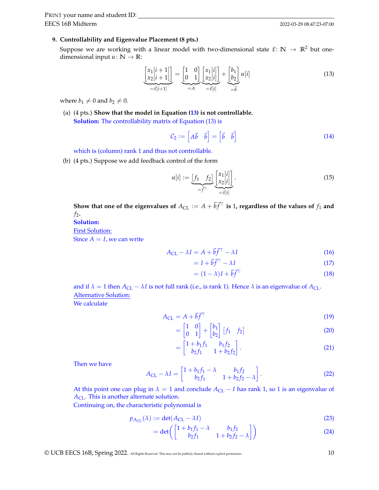EECS 16B Midterm PRINT your name and student ID:

# **9. Controllability and Eigenvalue Placement (8 pts.)**

Suppose we are working with a linear model with two-dimensional state  $\vec{x}$ :  $\mathbb{N} \to \mathbb{R}^2$  but onedimensional input  $u: \mathbb{N} \to \mathbb{R}$ :

<span id="page-9-0"></span>
$$
\underbrace{\begin{bmatrix} x_1[i+1] \\ x_2[i+1] \end{bmatrix}}_{=\vec{x}[i+1]} = \underbrace{\begin{bmatrix} 1 & 0 \\ 0 & 1 \end{bmatrix}}_{=A} \underbrace{\begin{bmatrix} x_1[i] \\ x_2[i] \end{bmatrix}}_{=\vec{x}[i]} + \underbrace{\begin{bmatrix} b_1 \\ b_2 \end{bmatrix}}_{=\vec{b}} u[i] \tag{13}
$$

where  $b_1 \neq 0$  and  $b_2 \neq 0$ .

(a) (4 pts.) **Show that the model in Equation [\(13\)](#page-9-0) is not controllable. Solution:** The controllability matrix of Equation [\(13\)](#page-9-0) is

$$
C_2 := \begin{bmatrix} A\vec{b} & \vec{b} \end{bmatrix} = \begin{bmatrix} \vec{b} & \vec{b} \end{bmatrix} \tag{14}
$$

which is (column) rank 1 and thus not controllable.

(b) (4 pts.) Suppose we add feedback control of the form

$$
u[i] := \underbrace{[f_1 \quad f_2]}_{= \vec{f}^\top} \underbrace{[x_1[i]}_{= \vec{x}[i]}.
$$
\n
$$
(15)
$$

Show that one of the eigenvalues of  $A_{\text{CL}} := A + \vec{b} \vec{f}^\top$  is 1, regardless of the values of  $f_1$  and  $f_2$ .

**Solution:**

First Solution:

Since  $A = I$ , we can write

$$
A_{\rm CL} - \lambda I = A + \vec{b} \vec{f}^{\top} - \lambda I \tag{16}
$$

$$
= I + \vec{b} \vec{f}^{\top} - \lambda I \tag{17}
$$

$$
= (1 - \lambda)I + \vec{b}\vec{f}^{\top}
$$
\n(18)

and if  $\lambda = 1$  then  $A_{CL} - \lambda I$  is not full rank (i.e., is rank 1). Hence  $\lambda$  is an eigenvalue of  $A_{CL}$ . Alternative Solution:

We calculate

$$
A_{\rm CL} = A + \vec{b} \vec{f}^{\top} \tag{19}
$$

$$
= \begin{bmatrix} 1 & 0 \\ 0 & 1 \end{bmatrix} + \begin{bmatrix} b_1 \\ b_2 \end{bmatrix} \begin{bmatrix} f_1 & f_2 \end{bmatrix}
$$
 (20)

$$
= \begin{bmatrix} 1 + b_1 f_1 & b_1 f_2 \\ b_2 f_1 & 1 + b_2 f_2 \end{bmatrix} . \tag{21}
$$

Then we have

$$
A_{\rm CL} - \lambda I = \begin{bmatrix} 1 + b_1 f_1 - \lambda & b_1 f_2 \\ b_2 f_1 & 1 + b_2 f_2 - \lambda \end{bmatrix}.
$$
 (22)

At this point one can plug in  $\lambda = 1$  and conclude  $A_{CL} - I$  has rank 1, so 1 is an eigenvalue of *A*CL. This is another alternate solution.

Continuing on, the characteristic polynomial is

$$
p_{A_{\text{CL}}}(\lambda) := \det(A_{\text{CL}} - \lambda I) \tag{23}
$$

$$
= det \left( \begin{bmatrix} 1 + b_1 f_1 - \lambda & b_1 f_2 \\ b_2 f_1 & 1 + b_2 f_2 - \lambda \end{bmatrix} \right) \tag{24}
$$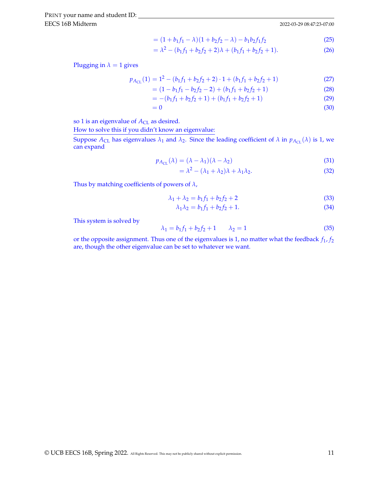$$
= (1 + b_1 f_1 - \lambda)(1 + b_2 f_2 - \lambda) - b_1 b_2 f_1 f_2 \tag{25}
$$

$$
= \lambda^2 - (b_1 f_1 + b_2 f_2 + 2)\lambda + (b_1 f_1 + b_2 f_2 + 1). \tag{26}
$$

Plugging in  $\lambda = 1$  gives

$$
p_{A_{\text{CL}}}(1) = 1^2 - (b_1 f_1 + b_2 f_2 + 2) \cdot 1 + (b_1 f_1 + b_2 f_2 + 1) \tag{27}
$$

$$
= (1 - b1f1 - b2f2 - 2) + (b1f1 + b2f2 + 1)
$$
\n(28)

$$
= -(b_1f_1 + b_2f_2 + 1) + (b_1f_1 + b_2f_2 + 1)
$$
\n(29)

$$
=0\tag{30}
$$

so 1 is an eigenvalue of  $A_{CL}$  as desired.

How to solve this if you didn't know an eigenvalue:

Suppose  $A_{CL}$  has eigenvalues  $\lambda_1$  and  $\lambda_2$ . Since the leading coefficient of  $\lambda$  in  $p_{A_{CL}}(\lambda)$  is 1, we can expand

$$
p_{A_{\rm CL}}(\lambda) = (\lambda - \lambda_1)(\lambda - \lambda_2) \tag{31}
$$

$$
= \lambda^2 - (\lambda_1 + \lambda_2)\lambda + \lambda_1\lambda_2.
$$
 (32)

Thus by matching coefficients of powers of *λ*,

$$
\lambda_1 + \lambda_2 = b_1 f_1 + b_2 f_2 + 2 \tag{33}
$$

$$
\lambda_1 \lambda_2 = b_1 f_1 + b_2 f_2 + 1. \tag{34}
$$

This system is solved by

$$
\lambda_1 = b_1 f_1 + b_2 f_2 + 1 \qquad \lambda_2 = 1 \tag{35}
$$

or the opposite assignment. Thus one of the eigenvalues is 1, no matter what the feedback *f*1, *f*<sup>2</sup> are, though the other eigenvalue can be set to whatever we want.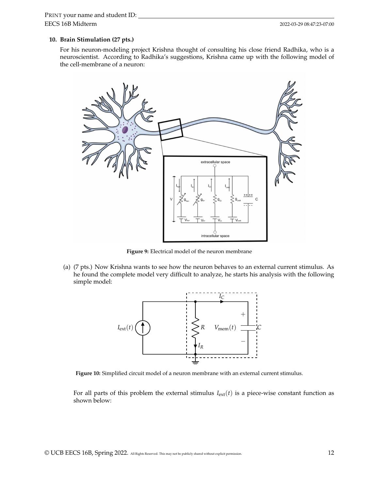#### **10. Brain Stimulation (27 pts.)**

For his neuron-modeling project Krishna thought of consulting his close friend Radhika, who is a neuroscientist. According to Radhika's suggestions, Krishna came up with the following model of the cell-membrane of a neuron:



**Figure 9:** Electrical model of the neuron membrane

(a) (7 pts.) Now Krishna wants to see how the neuron behaves to an external current stimulus. As he found the complete model very difficult to analyze, he starts his analysis with the following simple model:



**Figure 10:** Simplified circuit model of a neuron membrane with an external current stimulus.

For all parts of this problem the external stimulus  $I_{ext}(t)$  is a piece-wise constant function as shown below: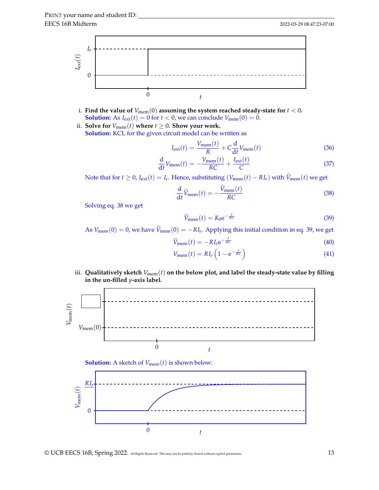

- i. Find the value of  $V_{\text{mem}}(0)$  assuming the system reached steady-state for  $t < 0$ . **Solution:** As  $I_{ext}(t) = 0$  for  $t < 0$ , we can conclude  $V_{mem}(0) = 0$ .
- ii. **Solve for**  $V_{\text{mem}}(t)$  where  $t \geq 0$ . **Show your work. Solution:** KCL for the given circuit model can be written as

$$
I_{\text{ext}}(t) = \frac{V_{\text{mem}}(t)}{R} + C\frac{d}{dt}V_{\text{mem}}(t)
$$
\n(36)

$$
\frac{\mathrm{d}}{\mathrm{d}t}V_{\mathrm{mem}}(t) = -\frac{V_{\mathrm{mem}}(t)}{RC} + \frac{I_{\mathrm{ext}}(t)}{C}
$$
\n(37)

Note that for  $t \geq 0$ ,  $I_{ext}(t) = I_e$ . Hence, substituting  $(V_{mem}(t) - RI_e)$  with  $V_{mem}(t)$  we get

$$
\frac{\mathrm{d}}{\mathrm{d}t}\widetilde{V}_{\text{mem}}(t) = -\frac{\widetilde{V}_{\text{mem}}(t)}{RC}
$$
\n(38)

Solving eq. [38](#page-12-0) we get

<span id="page-12-1"></span><span id="page-12-0"></span>
$$
\widetilde{V}_{\text{mem}}(t) = K_0 e^{-\frac{t}{RC}}
$$
\n(39)

As  $V_{\text{mem}}(0) = 0$ , we have  $V_{\text{mem}}(0) = -RI_e$ . Applying this initial condition in eq. [39,](#page-12-1) we get

$$
\widetilde{V}_{\text{mem}}(t) = -R I_e e^{-\frac{t}{RC}} \tag{40}
$$

$$
V_{\text{mem}}(t) = RI_e \left( 1 - e^{-\frac{t}{RC}} \right) \tag{41}
$$

iii. Qualitatively sketch  $V_{\text{mem}}(t)$  on the below plot, and label the steady-state value by filling **in the un-filled** *y***-axis label.**





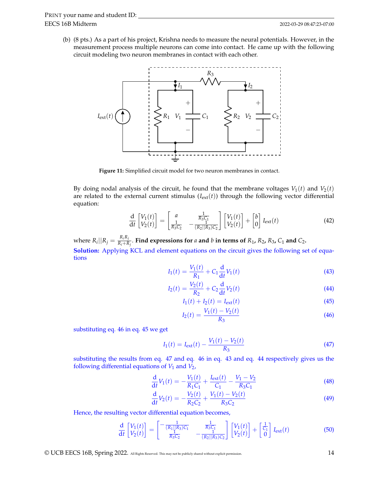(b) (8 pts.) As a part of his project, Krishna needs to measure the neural potentials. However, in the measurement process multiple neurons can come into contact. He came up with the following circuit modeling two neuron membranes in contact with each other.



**Figure 11:** Simplified circuit model for two neuron membranes in contact.

By doing nodal analysis of the circuit, he found that the membrane voltages  $V_1(t)$  and  $V_2(t)$ are related to the external current stimulus  $(I_{ext}(t))$  through the following vector differential equation:

$$
\frac{\mathrm{d}}{\mathrm{d}t} \begin{bmatrix} V_1(t) \\ V_2(t) \end{bmatrix} = \begin{bmatrix} a & \frac{1}{R_3 C_1} \\ \frac{1}{R_3 C_2} & -\frac{1}{(R_2 || R_3) C_2} \end{bmatrix} \begin{bmatrix} V_1(t) \\ V_2(t) \end{bmatrix} + \begin{bmatrix} b \\ 0 \end{bmatrix} I_{\text{ext}}(t) \tag{42}
$$

where  $R_i||R_j = \frac{R_iR_j}{R_i+R_j}$  $\frac{R_1R_2}{R_1+R_1}$ . Find expressions for *a* and *b* in terms of  $R_1$ ,  $R_2$ ,  $R_3$ ,  $C_1$  and  $C_2$ . **Solution:** Applying KCL and element equations on the circuit gives the following set of equations

<span id="page-13-5"></span>
$$
I_1(t) = \frac{V_1(t)}{R_1} + C_1 \frac{d}{dt} V_1(t)
$$
\n(43)

$$
I_2(t) = \frac{V_2(t)}{R_2} + C_2 \frac{d}{dt} V_2(t)
$$
\n(44)

<span id="page-13-4"></span><span id="page-13-3"></span>
$$
I_1(t) + I_2(t) = I_{\text{ext}}(t)
$$
\n(45)

<span id="page-13-2"></span><span id="page-13-1"></span><span id="page-13-0"></span>
$$
I_2(t) = \frac{V_1(t) - V_2(t)}{R_3}
$$
\n(46)

substituting eq. [46](#page-13-0) in eq. [45](#page-13-1) we get

$$
I_1(t) = I_{\text{ext}}(t) - \frac{V_1(t) - V_2(t)}{R_3}
$$
\n(47)

substituting the results from eq. [47](#page-13-2) and eq. [46](#page-13-0) in eq. [43](#page-13-3) and eq. [44](#page-13-4) respectively gives us the following differential equations of  $V_1$  and  $V_2$ ,

$$
\frac{d}{dt}V_1(t) = -\frac{V_1(t)}{R_1C_1} + \frac{I_{ext}(t)}{C_1} - \frac{V_1 - V_2}{R_3C_1}
$$
\n(48)

$$
\frac{d}{dt}V_2(t) = -\frac{V_2(t)}{R_2C_2} + \frac{V_1(t) - V_2(t)}{R_3C_2}
$$
\n(49)

Hence, the resulting vector differential equation becomes,

$$
\frac{\mathrm{d}}{\mathrm{d}t}\begin{bmatrix}V_1(t)\\V_2(t)\end{bmatrix}=\begin{bmatrix}-\frac{1}{(R_1||R_3)C_1} & \frac{1}{R_3C_1} \\ \frac{1}{R_3C_2} & -\frac{1}{(R_2||R_3)C_2}\end{bmatrix}\begin{bmatrix}V_1(t)\\V_2(t)\end{bmatrix}+\begin{bmatrix}\frac{1}{C_1}\\0\end{bmatrix}I_{\text{ext}}(t) \tag{50}
$$

© UCB EECS 16B, Spring 2022. All Rights Reserved. This may not be publicly shared without explicit permission. 14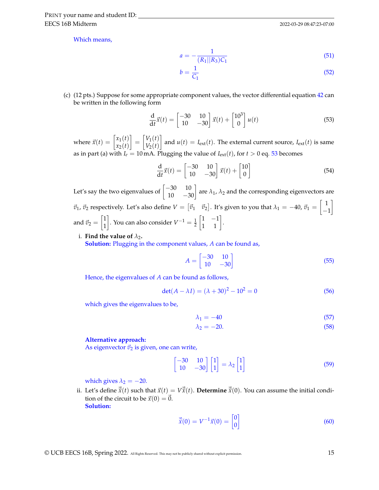EECS 16B Midterm PRINT your name and student ID:

Which means,

$$
a = -\frac{1}{(R_1||R_3)C_1} \tag{51}
$$

<span id="page-14-0"></span>
$$
b = \frac{1}{C_1} \tag{52}
$$

(c) (12 pts.) Suppose for some appropriate component values, the vector differential equation [42](#page-13-5) can be written in the following form

$$
\frac{\mathrm{d}}{\mathrm{d}t}\vec{x}(t) = \begin{bmatrix} -30 & 10\\ 10 & -30 \end{bmatrix} \vec{x}(t) + \begin{bmatrix} 10^3\\ 0 \end{bmatrix} u(t) \tag{53}
$$

where  $\vec{x}(t) = \begin{bmatrix} x_1(t) \\ x_2(t) \end{bmatrix}$ *x*2(*t*)  $= \begin{bmatrix} V_1(t) \\ V(t) \end{bmatrix}$  $V_2(t)$ and  $u(t) = I_{ext}(t)$ . The external current source,  $I_{ext}(t)$  is same as in part (a) with  $I_e = 10$  mA. Plugging the value of  $I_{ext}(t)$ , for  $t > 0$  eq. [53](#page-14-0) becomes

$$
\frac{\mathrm{d}}{\mathrm{d}t}\vec{x}(t) = \begin{bmatrix} -30 & 10\\ 10 & -30 \end{bmatrix} \vec{x}(t) + \begin{bmatrix} 10\\ 0 \end{bmatrix}
$$
\n(54)

Let's say the two eigenvalues of  $\begin{bmatrix} -30 & 10 \\ 10 & -30 \end{bmatrix}$  are  $\lambda_1$ ,  $\lambda_2$  and the corresponding eigenvectors are  $\vec{v}_1$ ,  $\vec{v}_2$  respectively. Let's also define  $V = [\vec{v}_1 \quad \vec{v}_2]$ . It's given to you that  $\lambda_1 = -40$ ,  $\vec{v}_1 = \begin{bmatrix} 1 \\ -1 \end{bmatrix}$ −1 1 and  $\vec{v}_2 = \begin{bmatrix} 1 \\ 1 \end{bmatrix}$ 1  $\bigg$ . You can also consider  $V^{-1} = \frac{1}{2}$  $\begin{bmatrix} 1 & -1 \\ 1 & 1 \end{bmatrix}$ .

#### i. **Find the value of**  $\lambda_2$ .

**Solution:** Plugging in the component values, *A* can be found as,

<span id="page-14-1"></span>
$$
A = \begin{bmatrix} -30 & 10 \\ 10 & -30 \end{bmatrix} \tag{55}
$$

Hence, the eigenvalues of *A* can be found as follows,

$$
det(A - \lambda I) = (\lambda + 30)^2 - 10^2 = 0
$$
\n(56)

which gives the eigenvalues to be,

$$
\lambda_1 = -40\tag{57}
$$

$$
\lambda_2 = -20.\tag{58}
$$

#### **Alternative approach:**

As eigenvector  $\vec{v}_2$  is given, one can write,

$$
\begin{bmatrix} -30 & 10 \\ 10 & -30 \end{bmatrix} \begin{bmatrix} 1 \\ 1 \end{bmatrix} = \lambda_2 \begin{bmatrix} 1 \\ 1 \end{bmatrix}
$$
 (59)

which gives  $\lambda_2 = -20$ .

ii. Let's define  $\vec{\tilde{x}}(t)$  such that  $\vec{x}(t) = V\vec{\tilde{x}}(t)$ . **Determine**  $\vec{\tilde{x}}(0)$ . You can assume the initial condition of the circuit to be  $\vec{x}(0) = \vec{0}$ . **Solution:**

$$
\vec{\tilde{x}}(0) = V^{-1}\vec{x}(0) = \begin{bmatrix} 0\\0 \end{bmatrix} \tag{60}
$$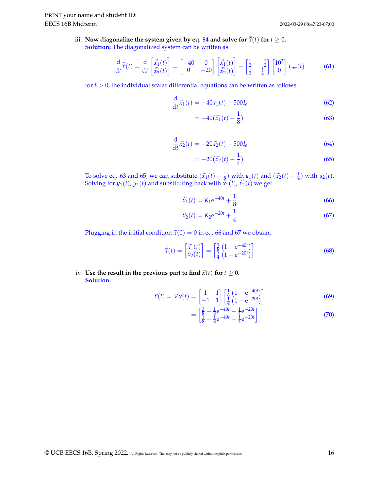iii. Now diagonalize the system given by eq. [54](#page-14-1) and solve for  $\vec{\tilde{x}}(t)$  for  $t \ge 0$ . **Solution:** The diagonalized system can be written as

$$
\frac{\mathrm{d}}{\mathrm{d}t}\vec{\tilde{x}}(t) = \frac{\mathrm{d}}{\mathrm{d}t} \begin{bmatrix} \vec{\tilde{x}}_1(t) \\ \vec{\tilde{x}}_2(t) \end{bmatrix} = \begin{bmatrix} -40 & 0 \\ 0 & -20 \end{bmatrix} \begin{bmatrix} \vec{\tilde{x}}_1(t) \\ \vec{\tilde{x}}_2(t) \end{bmatrix} + \begin{bmatrix} \frac{1}{2} & -\frac{1}{2} \\ \frac{1}{2} & \frac{1}{2} \end{bmatrix} \begin{bmatrix} 10^3 \\ 0 \end{bmatrix} I_{\text{ext}}(t) \tag{61}
$$

for  $t > 0$ , the individual scalar differential equations can be written as follows

$$
\frac{\mathrm{d}}{\mathrm{d}t}\widetilde{x}_1(t) = -40\widetilde{x}_1(t) + 500I_e \tag{62}
$$

<span id="page-15-0"></span>
$$
=-40(\widetilde{x}_1(t)-\frac{1}{8})
$$
\n(63)

$$
\frac{\mathrm{d}}{\mathrm{d}t}\tilde{x_2}(t) = -20\tilde{x_2}(t) + 500I_e \tag{64}
$$

<span id="page-15-2"></span><span id="page-15-1"></span>
$$
= -20(\tilde{x}_2(t) - \frac{1}{4})
$$
\n(65)

To solve eq. [63](#page-15-0) and [65,](#page-15-1) we can substitute  $(\tilde{x}_1(t) - \frac{1}{8})$  with  $y_1(t)$  and  $(\tilde{x}_2(t) - \frac{1}{4})$  with  $y_2(t)$ .<br>Solving for  $y_1(t)$   $y_2(t)$  and substituting back with  $\tilde{x}_1(t)$   $\tilde{x}_2(t)$  we get Solving for  $y_1(t)$ ,  $y_2(t)$  and substituting back with  $\tilde{x_1}(t)$ ,  $\tilde{x_2}(t)$  we get

$$
\widetilde{x}_1(t) = K_1 e^{-40t} + \frac{1}{8}
$$
\n(66)

<span id="page-15-3"></span>
$$
\widetilde{x}_2(t) = K_2 e^{-20t} + \frac{1}{4}
$$
\n(67)

Plugging in the initial condition  $\vec{\tilde{x}}(0) = 0$  in eq. [66](#page-15-2) and [67](#page-15-3) we obtain,

$$
\vec{\tilde{x}}(t) = \begin{bmatrix} \tilde{x}_1(t) \\ \tilde{x}_2(t) \end{bmatrix} = \begin{bmatrix} \frac{1}{8} \left( 1 - e^{-40t} \right) \\ \frac{1}{4} \left( 1 - e^{-20t} \right) \end{bmatrix}
$$
(68)

iv. Use the result in the previous part to find  $\vec{x}(t)$  for  $t \geq 0$ **. Solution:**

$$
\vec{x}(t) = V\vec{\tilde{x}}(t) = \begin{bmatrix} 1 & 1 \\ -1 & 1 \end{bmatrix} \begin{bmatrix} \frac{1}{8} \left(1 - e^{-40t}\right) \\ \frac{1}{4} \left(1 - e^{-20t}\right) \end{bmatrix}
$$
(69)

$$
= \begin{bmatrix} \frac{3}{8} - \frac{1}{8}e^{-40t} - \frac{1}{4}e^{-20t} \\ \frac{1}{8} + \frac{1}{8}e^{-40t} - \frac{1}{4}e^{-20t} \end{bmatrix}
$$
(70)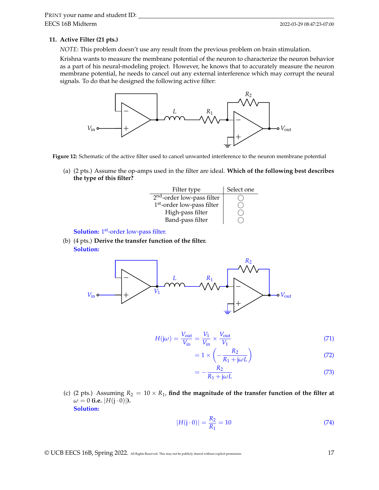# **11. Active Filter (21 pts.)**

*NOTE*: This problem doesn't use any result from the previous problem on brain stimulation.

Krishna wants to measure the membrane potential of the neuron to characterize the neuron behavior as a part of his neural-modeling project. However, he knows that to accurately measure the neuron membrane potential, he needs to cancel out any external interference which may corrupt the neural signals. To do that he designed the following active filter:



**Figure 12:** Schematic of the active filter used to cancel unwanted interference to the neuron membrane potential

(a) (2 pts.) Assume the op-amps used in the filter are ideal. **Which of the following best describes the type of this filter?**



**Solution:** 1<sup>st</sup>-order low-pass filter.

(b) (4 pts.) **Derive the transfer function of the filter. Solution:**



$$
H(j\omega) = \frac{V_{\text{out}}}{V_{\text{in}}} = \frac{V_1}{V_{\text{in}}} \times \frac{V_{\text{out}}}{V_1}
$$
(71)

$$
=1 \times \left(-\frac{R_2}{R_1 + j\omega L}\right) \tag{72}
$$

<span id="page-16-0"></span>
$$
=-\frac{R_2}{R_1+j\omega L}
$$
\n(73)

(c) (2 pts.) Assuming  $R_2 = 10 \times R_1$ , find the magnitude of the transfer function of the filter at  $\omega = 0$  (i.e.  $|H(j \cdot 0)|$ ). **Solution:**

$$
|H(j \cdot 0)| = \frac{R_2}{R_1} = 10\tag{74}
$$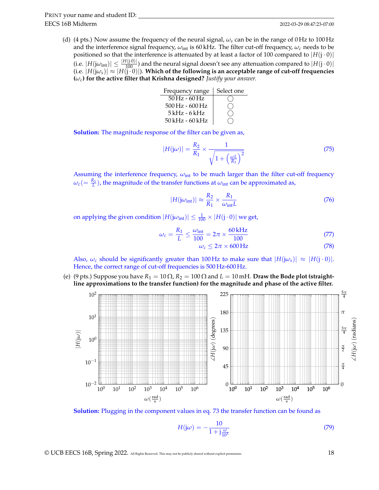- EECS 16B Midterm PRINT your name and student ID:
	- (d) (4 pts.) Now assume the frequency of the neural signal, *ωs* can be in the range of 0 Hz to 100 Hz and the interference signal frequency,  $\omega_{\text{int}}$  is 60 kHz. The filter cut-off frequency,  $\omega_c$  needs to be positioned so that the interference is attenuated by at least a factor of 100 compared to  $|H(j \cdot 0)|$ (i.e.  $|H(j\omega_{\text{int}})| \leq \frac{|H(j\cdot 0)|}{100}$ ) and the neural signal doesn't see any attenuation compared to  $|H(j\cdot 0)|$  $(i.e. |H(j\omega_s)| \approx |H(j\omega_0)|$ ). Which of the following is an acceptable range of cut-off frequencies **(***ωc***) for the active filter that Krishna designed?** *Justify your answer.*

| Frequency range                         | Select one |
|-----------------------------------------|------------|
| $50\,\mathrm{Hz}$ - 60 Hz               |            |
| $500\,\mathrm{Hz}$ - $600\,\mathrm{Hz}$ |            |
| $5kHz - 6kHz$                           |            |
| 50 kHz - 60 kHz                         |            |

**Solution:** The magnitude response of the filter can be given as,

$$
|H(j\omega)| = \frac{R_2}{R_1} \times \frac{1}{\sqrt{1 + \left(\frac{\omega L}{R_1}\right)^2}}
$$
(75)

Assuming the interference frequency,  $\omega_{int}$  to be much larger than the filter cut-off frequency  $\omega_c(=\frac{R_1}{L})$ , the magnitude of the transfer functions at  $\omega_{\rm int}$  can be approximated as,

$$
|H(j\omega_{\rm int})| \approx \frac{R_2}{R_1} \times \frac{R_1}{\omega_{\rm int} L}
$$
 (76)

on applying the given condition  $|H(\mathrm{j}\omega_{\mathrm{int}})| \leq \frac{1}{100} \times |H(\mathrm{j}\cdot 0)|$  we get,

$$
\omega_c = \frac{R_1}{L} \le \frac{\omega_{\text{int}}}{100} = 2\pi \times \frac{60 \text{ kHz}}{100} \tag{77}
$$

$$
\omega_c \le 2\pi \times 600 \,\text{Hz} \tag{78}
$$

Also,  $\omega_c$  should be significantly greater than 100 Hz to make sure that  $|H(i\omega_s)| \approx |H(i \cdot 0)|$ . Hence, the correct range of cut-off frequencies is 500 Hz-600 Hz.

(e) (9 pts.) Suppose you have  $R_1 = 10 \Omega$ ,  $R_2 = 100 \Omega$  and  $L = 10$  mH. **Draw the Bode plot (straightline approximations to the transfer function) for the magnitude and phase of the active filter.**



**Solution:** Plugging in the component values in eq. [73](#page-16-0) the transfer function can be found as

$$
H(j\omega) = -\frac{10}{1 + j\frac{\omega}{10^3}}\tag{79}
$$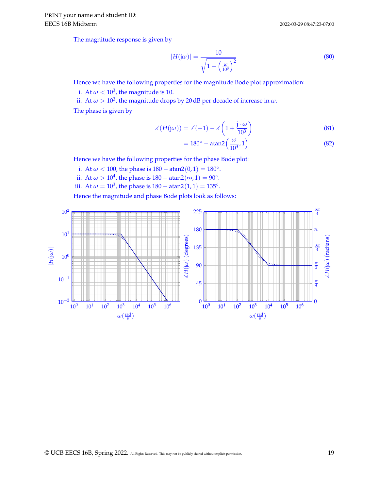2022-03-29 08:47:23-07:00

The magnitude response is given by

$$
|H(j\omega)| = \frac{10}{\sqrt{1 + \left(\frac{\omega}{10^3}\right)^2}}
$$
\n(80)

Hence we have the following properties for the magnitude Bode plot approximation:

i. At  $\omega < 10^3$ , the magnitude is 10.

ii. At  $\omega > 10^3$ , the magnitude drops by 20 dB per decade of increase in  $\omega$ .

The phase is given by

$$
\measuredangle(H(j\omega)) = \measuredangle(-1) - \measuredangle\left(1 + \frac{j \cdot \omega}{10^3}\right) \tag{81}
$$

$$
=180^{\circ} - \text{atan2}\left(\frac{\omega}{10^3}, 1\right) \tag{82}
$$

Hence we have the following properties for the phase Bode plot:

i. At  $\omega < 100$ , the phase is  $180 - \text{atan2}(0, 1) = 180°$ .

ii. At  $\omega > 10^4$ , the phase is  $180 - \text{atan2}(\infty, 1) = 90^\circ$ .

iii. At  $\omega = 10^3$ , the phase is  $180 - \text{atan2}(1, 1) = 135^\circ$ .

Hence the magnitude and phase Bode plots look as follows:

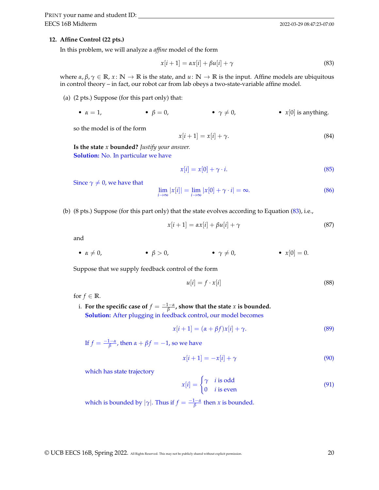### **12. Affine Control (22 pts.)**

In this problem, we will analyze a *affine* model of the form

<span id="page-19-0"></span>
$$
x[i+1] = \alpha x[i] + \beta u[i] + \gamma \tag{83}
$$

where  $\alpha, \beta, \gamma \in \mathbb{R}, x \colon \mathbb{N} \to \mathbb{R}$  is the state, and  $u \colon \mathbb{N} \to \mathbb{R}$  is the input. Affine models are ubiquitous in control theory – in fact, our robot car from lab obeys a two-state-variable affine model.

(a) (2 pts.) Suppose (for this part only) that:

• 
$$
\alpha = 1
$$
,  $\beta = 0$ ,  $\gamma \neq 0$ ,  $\gamma \neq 0$ .)  $\gamma \neq 0$ 

so the model is of the form

$$
x[i+1] = x[i] + \gamma. \tag{84}
$$

**Is the state** *x* **bounded?** *Justify your answer.* **Solution:** No. In particular we have

$$
x[i] = x[0] + \gamma \cdot i. \tag{85}
$$

Since  $\gamma \neq 0$ , we have that

$$
\lim_{i \to \infty} |x[i]| = \lim_{i \to \infty} |x[0] + \gamma \cdot i| = \infty. \tag{86}
$$

(b) (8 pts.) Suppose (for this part only) that the state evolves according to Equation [\(83\)](#page-19-0), i.e.,

$$
x[i+1] = \alpha x[i] + \beta u[i] + \gamma \tag{87}
$$

and

• 
$$
\alpha \neq 0
$$
,  $\beta > 0$ ,  $\gamma \neq 0$ ,  $\gamma \neq 0$ 

Suppose that we supply feedback control of the form

$$
u[i] = f \cdot x[i] \tag{88}
$$

for  $f \in \mathbb{R}$ .

i. For the specific case of  $f = \frac{-1 - \alpha}{\beta}$ , show that the state *x* is bounded. **Solution:** After plugging in feedback control, our model becomes

<span id="page-19-1"></span>
$$
x[i+1] = (\alpha + \beta f)x[i] + \gamma.
$$
\n(89)

If  $f = \frac{-1-a}{\beta}$ , then  $\alpha + \beta f = -1$ , so we have

$$
x[i+1] = -x[i] + \gamma \tag{90}
$$

which has state trajectory

$$
x[i] = \begin{cases} \gamma & i \text{ is odd} \\ 0 & i \text{ is even} \end{cases} \tag{91}
$$

which is bounded by  $|\gamma|$ . Thus if  $f = \frac{-1 - \alpha}{\beta}$  then *x* is bounded.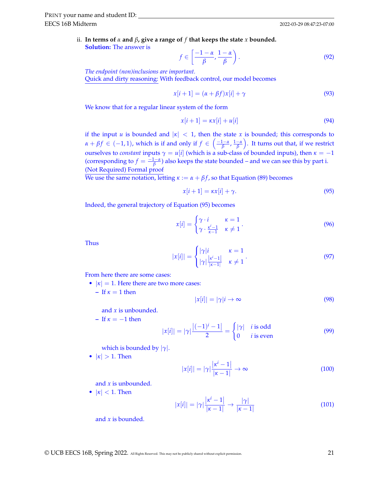ii. **In terms of** *α* **and** *β***, give a range of** *f* **that keeps the state** *x* **bounded. Solution:** The answer is

$$
f \in \left[\frac{-1-\alpha}{\beta}, \frac{1-\alpha}{\beta}\right). \tag{92}
$$

*The endpoint (non)inclusions are important.* Quick and dirty reasoning: With feedback control, our model becomes

$$
x[i+1] = (\alpha + \beta f)x[i] + \gamma \tag{93}
$$

We know that for a regular linear system of the form

$$
x[i+1] = \kappa x[i] + u[i] \tag{94}
$$

if the input *u* is bounded and  $|k| < 1$ , then the state *x* is bounded; this corresponds to  $\alpha + \beta f \in (-1, 1)$ , which is if and only if  $f \in \left(\frac{-1-\alpha}{\beta}, \frac{1-\alpha}{\beta}\right)$ . It turns out that, if we restrict ourselves to *constant* inputs  $\gamma = u[i]$  (which is a sub-class of bounded inputs), then  $\kappa = -1$ (corresponding to  $f = \frac{-1-\alpha}{\beta}$ ) also keeps the state bounded – and we can see this by part i. (Not Required) Formal proof

We use the same notation, letting  $\kappa := \alpha + \beta f$ , so that Equation [\(89\)](#page-19-1) becomes

<span id="page-20-0"></span>
$$
x[i+1] = \kappa x[i] + \gamma. \tag{95}
$$

Indeed, the general trajectory of Equation [\(95\)](#page-20-0) becomes

$$
x[i] = \begin{cases} \gamma \cdot i & \kappa = 1 \\ \gamma \cdot \frac{\kappa^{i}-1}{\kappa-1} & \kappa \neq 1 \end{cases} . \tag{96}
$$

Thus

$$
|x[i]| = \begin{cases} |\gamma|i & \kappa = 1\\ |\gamma| \frac{|\kappa^i - 1|}{|\kappa - 1|} & \kappa \neq 1 \end{cases}.
$$
 (97)

From here there are some cases:

- $|\kappa| = 1$ . Here there are two more cases:
	- **–** If  $\kappa = 1$  then

$$
|x[i]| = |\gamma|i \to \infty \tag{98}
$$

- and *x* is unbounded.
- **–** If *κ* = −1 then

$$
|x[i]| = |\gamma| \frac{|(-1)^i - 1|}{2} = \begin{cases} |\gamma| & i \text{ is odd} \\ 0 & i \text{ is even} \end{cases} \tag{99}
$$

which is bounded by |*γ*|.

•  $|\kappa| > 1$ . Then

$$
|x[i]| = |\gamma| \frac{|x^i - 1|}{|x - 1|} \to \infty
$$
\n(100)

and *x* is unbounded.

•  $|\kappa| < 1$ . Then

$$
|x[i]| = |\gamma| \frac{|x^i - 1|}{|x - 1|} \rightarrow \frac{|\gamma|}{|x - 1|}
$$
\n(101)

and *x* is bounded.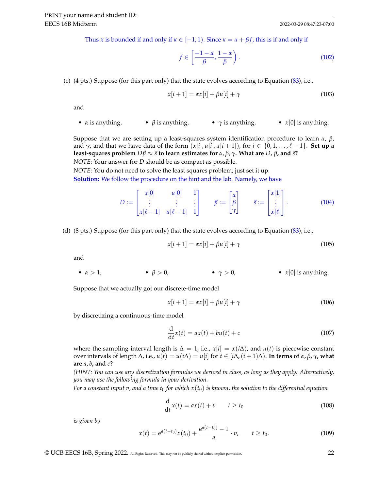Thus *x* is bounded if and only if  $\kappa \in [-1, 1)$ . Since  $\kappa = \alpha + \beta f$ , this is if and only if

$$
f \in \left[\frac{-1-\alpha}{\beta}, \frac{1-\alpha}{\beta}\right). \tag{102}
$$

(c) (4 pts.) Suppose (for this part only) that the state evolves according to Equation [\(83\)](#page-19-0), i.e.,

$$
x[i+1] = \alpha x[i] + \beta u[i] + \gamma \tag{103}
$$

and

• *α* is anything, • *β* is anything, • *γ* is anything, • *x*[0] is anything.

Suppose that we are setting up a least-squares system identification procedure to learn *α*, *β*, and  $\gamma$ , and that we have data of the form  $(x[i], u[i], x[i+1])$ , for  $i \in \{0, 1, ..., \ell-1\}$ . Set up a **least-squares problem**  $D\vec{p} \approx \vec{s}$  to learn estimates for  $\alpha$ ,  $\beta$ ,  $\gamma$ . What are  $D$ ,  $\vec{p}$ , and  $\vec{s}$ ? *NOTE*: Your answer for *D* should be as compact as possible.

*NOTE*: You do not need to solve the least squares problem; just set it up.

**Solution:** We follow the procedure on the hint and the lab. Namely, we have

$$
D := \begin{bmatrix} x[0] & u[0] & 1 \\ \vdots & \vdots & \vdots \\ x[\ell-1] & u[\ell-1] & 1 \end{bmatrix} \qquad \vec{p} := \begin{bmatrix} \alpha \\ \beta \\ \gamma \end{bmatrix} \qquad \vec{s} := \begin{bmatrix} x[1] \\ \vdots \\ x[\ell] \end{bmatrix}.
$$
 (104)

(d) (8 pts.) Suppose (for this part only) that the state evolves according to Equation [\(83\)](#page-19-0), i.e.,

$$
x[i+1] = \alpha x[i] + \beta u[i] + \gamma \tag{105}
$$

and

•  $\alpha > 1$ , •  $\beta > 0$ , •  $\gamma > 0$ , •  $x[0]$  is anything.

Suppose that we actually got our discrete-time model

$$
x[i+1] = \alpha x[i] + \beta u[i] + \gamma \tag{106}
$$

by discretizing a continuous-time model

$$
\frac{\mathrm{d}}{\mathrm{d}t}x(t) = ax(t) + bu(t) + c \tag{107}
$$

where the sampling interval length is  $\Delta = 1$ , i.e.,  $x[i] = x(i\Delta)$ , and  $u(t)$  is piecewise constant over intervals of length ∆, i.e., *u*(*t*) = *u*(*i*∆) = *u*[*i*] for *t* ∈ [*i*∆,(*i* + 1)∆). **In terms of** *α*, *β*, *γ***, what are** *a*, *b***, and** *c***?**

*(HINT: You can use any discretization formulas we derived in class, as long as they apply. Alternatively, you may use the following formula in your derivation.*

*For a constant input v, and a time t<sub>0</sub> for which*  $x(t_0)$  *is known, the solution to the differential equation* 

$$
\frac{\mathrm{d}}{\mathrm{d}t}x(t) = ax(t) + v \qquad t \ge t_0 \tag{108}
$$

*is given by*

<span id="page-21-0"></span>
$$
x(t) = e^{a(t-t_0)}x(t_0) + \frac{e^{a(t-t_0)} - 1}{a} \cdot v, \qquad t \ge t_0.
$$
 (109)